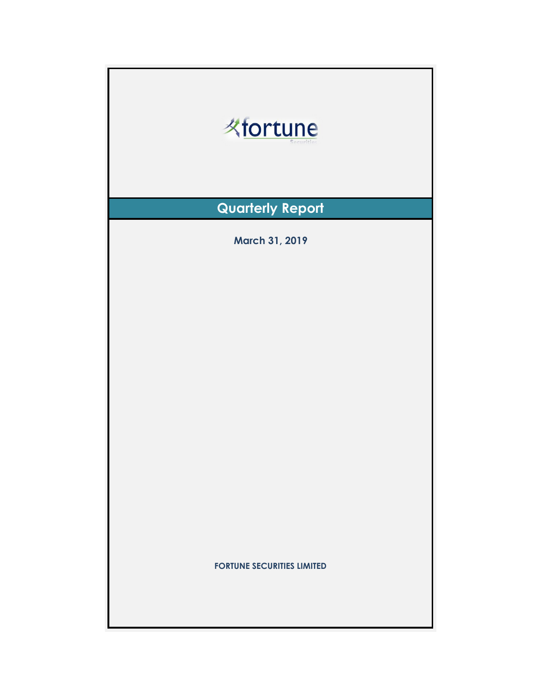| <b>Kfortune</b>                   |  |  |  |  |
|-----------------------------------|--|--|--|--|
| <b>Quarterly Report</b>           |  |  |  |  |
| <b>March 31, 2019</b>             |  |  |  |  |
| <b>FORTUNE SECURITIES LIMITED</b> |  |  |  |  |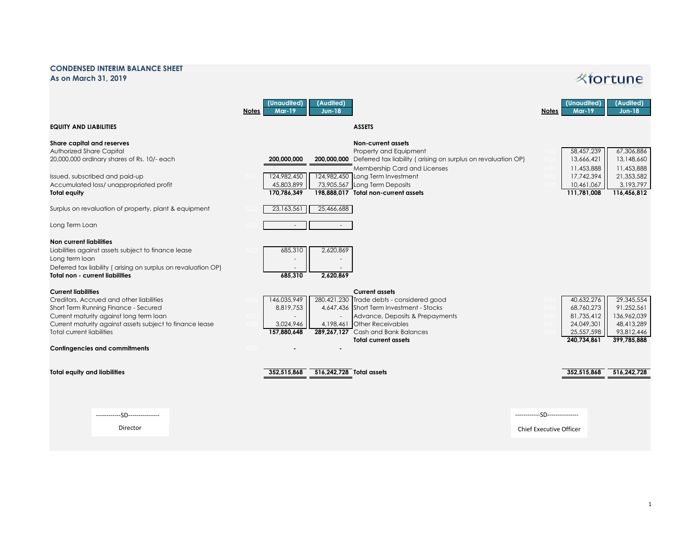## **CONDENSED INTERIM BALANCE SHEET As on March 31, 2019**

## *K*fortune

|                                                                                                                                                                                                                                                           | (Unaudited)<br>(Audited)<br><b>Mar-19</b><br><b>Jun-18</b><br><b>Notes</b>                                                                                                                                                                                                                                    | (Audited)<br>(Unaudited)<br><b>Mar-19</b><br>$Jun-18$<br><b>Notes</b>                                                                                                   |
|-----------------------------------------------------------------------------------------------------------------------------------------------------------------------------------------------------------------------------------------------------------|---------------------------------------------------------------------------------------------------------------------------------------------------------------------------------------------------------------------------------------------------------------------------------------------------------------|-------------------------------------------------------------------------------------------------------------------------------------------------------------------------|
| <b>EQUITY AND LIABILITIES</b>                                                                                                                                                                                                                             | <b>ASSETS</b>                                                                                                                                                                                                                                                                                                 |                                                                                                                                                                         |
| Share capital and reserves<br><b>Authorized Share Capital</b><br>20,000,000 ordinary shares of Rs. 10/- each<br>Issued, subscribed and paid-up                                                                                                            | Non-current assets<br>Property and Equipment<br>200,000,000 Deferred tax liability (arising on surplus on revaluation OP)<br>200.000.000<br>Membership Card and Licenses<br>124,982,450<br>124,982,450 Long Term Investment                                                                                   | 67,306,886<br>58,457,239<br>13,148,660<br>13,666,421<br>11,453,888<br>11,453,888<br>21,353,582<br>17,742,394                                                            |
| Accumulated loss/ unappropriated profit<br>Total equity                                                                                                                                                                                                   | 45,803,899<br>73,905,567 Long Term Deposits<br>170.786.349<br>198.888.017 Total non-current assets                                                                                                                                                                                                            | 3,193,797<br>10,461,067<br>111,781,008<br>116,456,812                                                                                                                   |
| Surplus on revaluation of property, plant & equipment                                                                                                                                                                                                     | 23,163,561<br>25,466,688                                                                                                                                                                                                                                                                                      |                                                                                                                                                                         |
| Long Term Loan                                                                                                                                                                                                                                            |                                                                                                                                                                                                                                                                                                               |                                                                                                                                                                         |
| Non current liabilities<br>Liabilities against assets subject to finance lease<br>Long term loan<br>Deferred tax liability (arising on surplus on revaluation OP)<br><b>Total non - current liabilities</b>                                               | 685,310<br>2,620,869<br>685,310<br>2,620,869                                                                                                                                                                                                                                                                  |                                                                                                                                                                         |
| <b>Current liabilities</b><br>Creditors, Accrued and other liabilities<br>Short Term Running Finance - Secured<br>Current maturity against long term loan<br>Current maturity against assets subject to finance lease<br><b>Total current liabilities</b> | <b>Current assets</b><br>146,035,949<br>280,421,230 Trade debts - considered good<br>8,819,753<br>4,647,436 Short Term Investment - Stocks<br>Advance, Deposits & Prepayments<br>4,198,461 Other Receivables<br>3,024,946<br>289,267,127 Cash and Bank Balances<br>157,880,648<br><b>Total current assets</b> | 29,345,554<br>40,632,276<br>68,760,273<br>91.252.561<br>136,962,039<br>81,735,412<br>48,413,289<br>24,049,301<br>25,557,598<br>93,812,446<br>240,734,861<br>399,785,888 |
| <b>Contingencies and commitments</b>                                                                                                                                                                                                                      |                                                                                                                                                                                                                                                                                                               |                                                                                                                                                                         |
| <b>Total equity and liabilities</b>                                                                                                                                                                                                                       | 516,242,728 Total assets<br>352,515,868                                                                                                                                                                                                                                                                       | 352,515,868<br>516.242.728                                                                                                                                              |
| -SD--------                                                                                                                                                                                                                                               |                                                                                                                                                                                                                                                                                                               | -SD---------------                                                                                                                                                      |
| Director                                                                                                                                                                                                                                                  |                                                                                                                                                                                                                                                                                                               | Chief Executive Officer                                                                                                                                                 |